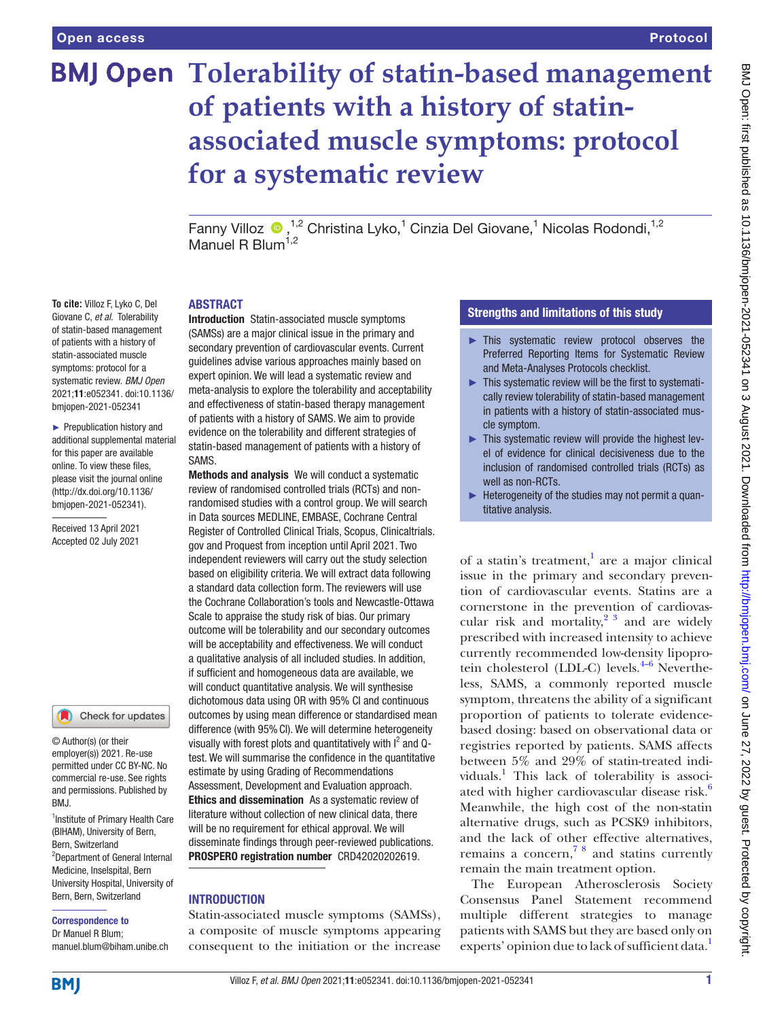**To cite:** Villoz F, Lyko C, Del Giovane C, *et al*. Tolerability of statin-based management of patients with a history of statin-associated muscle symptoms: protocol for a systematic review. *BMJ Open* 2021;11:e052341. doi:10.1136/ bmjopen-2021-052341 ► Prepublication history and additional supplemental material for this paper are available online. To view these files, please visit the journal online [\(http://dx.doi.org/10.1136/](http://dx.doi.org/10.1136/bmjopen-2021-052341) [bmjopen-2021-052341](http://dx.doi.org/10.1136/bmjopen-2021-052341)). Received 13 April 2021 Accepted 02 July 2021

# **BMJ Open Tolerability of statin-based management of patients with a history of statinassociated muscle symptoms: protocol for a systematic review**

Fanny Villoz  $\bigcirc$ , <sup>1,2</sup> Christina Lyko,<sup>1</sup> Cinzia Del Giovane,<sup>1</sup> Nicolas Rodondi, <sup>1,2</sup> Manuel R Blum<sup>1,2</sup>

#### ABSTRACT

Introduction Statin-associated muscle symptoms (SAMSs) are a major clinical issue in the primary and secondary prevention of cardiovascular events. Current guidelines advise various approaches mainly based on expert opinion. We will lead a systematic review and meta-analysis to explore the tolerability and acceptability and effectiveness of statin-based therapy management of patients with a history of SAMS. We aim to provide evidence on the tolerability and different strategies of statin-based management of patients with a history of SAMS.

Methods and analysis We will conduct a systematic review of randomised controlled trials (RCTs) and nonrandomised studies with a control group. We will search in Data sources MEDLINE, EMBASE, Cochrane Central Register of Controlled Clinical Trials, Scopus, Clinicaltrials. gov and Proquest from inception until April 2021. Two independent reviewers will carry out the study selection based on eligibility criteria. We will extract data following a standard data collection form. The reviewers will use the Cochrane Collaboration's tools and Newcastle-Ottawa Scale to appraise the study risk of bias. Our primary outcome will be tolerability and our secondary outcomes will be acceptability and effectiveness. We will conduct a qualitative analysis of all included studies. In addition, if sufficient and homogeneous data are available, we will conduct quantitative analysis. We will synthesise dichotomous data using OR with 95% CI and continuous outcomes by using mean difference or standardised mean difference (with 95% CI). We will determine heterogeneity visually with forest plots and quantitatively with  $I^2$  and Qtest. We will summarise the confidence in the quantitative estimate by using Grading of Recommendations Assessment, Development and Evaluation approach. Ethics and dissemination As a systematic review of literature without collection of new clinical data, there will be no requirement for ethical approval. We will disseminate findings through peer-reviewed publications. PROSPERO registration number CRD42020202619.

# **INTRODUCTION**

Statin-associated muscle symptoms (SAMSs), a composite of muscle symptoms appearing consequent to the initiation or the increase

# Strengths and limitations of this study

- ► This systematic review protocol observes the Preferred Reporting Items for Systematic Review and Meta-Analyses Protocols checklist.
- ► This systematic review will be the first to systematically review tolerability of statin-based management in patients with a history of statin-associated muscle symptom.
- ► This systematic review will provide the highest level of evidence for clinical decisiveness due to the inclusion of randomised controlled trials (RCTs) as well as non-RCTs.
- ► Heterogeneity of the studies may not permit a quantitative analysis.

of a statin's treatment, $\frac{1}{1}$  $\frac{1}{1}$  $\frac{1}{1}$  are a major clinical issue in the primary and secondary prevention of cardiovascular events. Statins are a cornerstone in the prevention of cardiovascular risk and mortality,<sup>2 3</sup> and are widely prescribed with increased intensity to achieve currently recommended low-density lipoprotein cholesterol (LDL-C) levels. $4-6$  Nevertheless, SAMS, a commonly reported muscle symptom, threatens the ability of a significant proportion of patients to tolerate evidencebased dosing: based on observational data or registries reported by patients. SAMS affects between 5% and 29% of statin-treated indi-viduals.<sup>[1](#page-3-0)</sup> This lack of tolerability is associated with higher cardiovascular disease risk.<sup>6</sup> Meanwhile, the high cost of the non-statin alternative drugs, such as PCSK9 inhibitors, and the lack of other effective alternatives, remains a concern,  $78$  and statins currently remain the main treatment option.

The European Atherosclerosis Society Consensus Panel Statement recommend multiple different strategies to manage patients with SAMS but they are based only on experts' opinion due to lack of sufficient data.<sup>[1](#page-3-0)</sup>

# <sup>1</sup>Institute of Primary Health Care

RM<sub>J</sub>

© Author(s) (or their employer(s)) 2021. Re-use permitted under CC BY-NC. No commercial re-use. See rights and permissions. Published by

Check for updates

(BIHAM), University of Bern, Bern, Switzerland 2 Department of General Internal Medicine, Inselspital, Bern University Hospital, University of Bern, Bern, Switzerland

#### Correspondence to

Dr Manuel R Blum; manuel.blum@biham.unibe.ch

**BMI**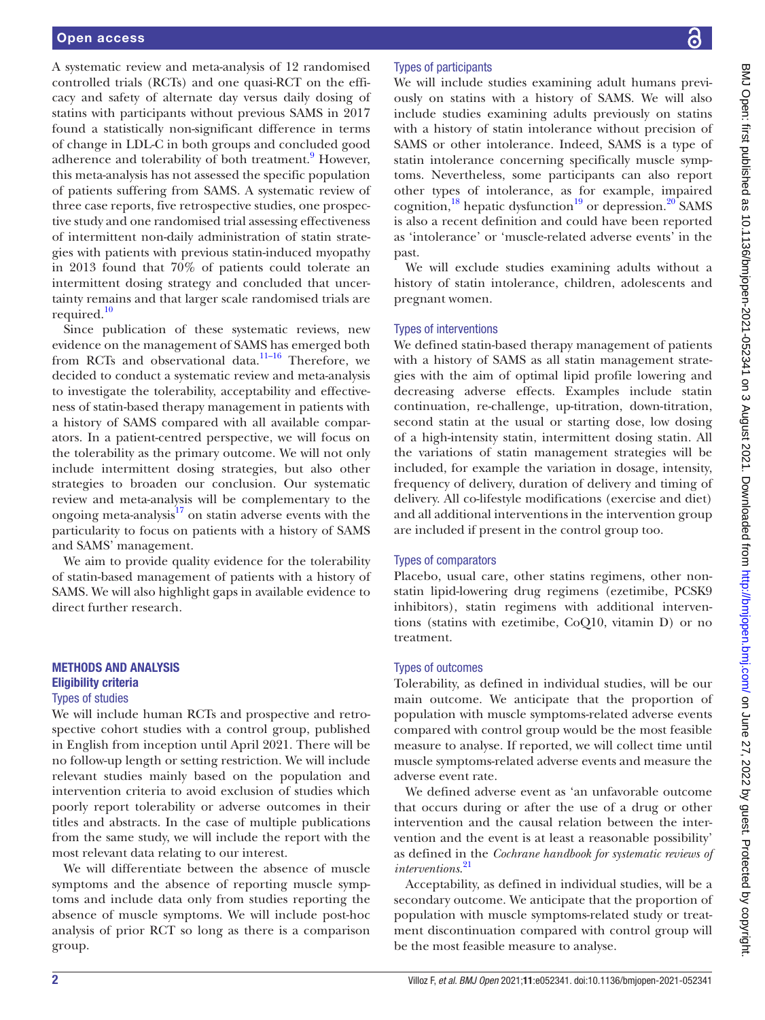A systematic review and meta-analysis of 12 randomised controlled trials (RCTs) and one quasi-RCT on the efficacy and safety of alternate day versus daily dosing of statins with participants without previous SAMS in 2017 found a statistically non-significant difference in terms of change in LDL-C in both groups and concluded good adherence and tolerability of both treatment.<sup>[9](#page-4-4)</sup> However, this meta-analysis has not assessed the specific population of patients suffering from SAMS. A systematic review of three case reports, five retrospective studies, one prospective study and one randomised trial assessing effectiveness of intermittent non-daily administration of statin strategies with patients with previous statin-induced myopathy in 2013 found that 70% of patients could tolerate an intermittent dosing strategy and concluded that uncertainty remains and that larger scale randomised trials are required.<sup>10</sup>

Since publication of these systematic reviews, new evidence on the management of SAMS has emerged both from RCTs and observational data.<sup>11-16</sup> Therefore, we decided to conduct a systematic review and meta-analysis to investigate the tolerability, acceptability and effectiveness of statin-based therapy management in patients with a history of SAMS compared with all available comparators. In a patient-centred perspective, we will focus on the tolerability as the primary outcome. We will not only include intermittent dosing strategies, but also other strategies to broaden our conclusion. Our systematic review and meta-analysis will be complementary to the ongoing meta-analysis $17$  on statin adverse events with the particularity to focus on patients with a history of SAMS and SAMS' management.

We aim to provide quality evidence for the tolerability of statin-based management of patients with a history of SAMS. We will also highlight gaps in available evidence to direct further research.

# METHODS AND ANALYSIS Eligibility criteria Types of studies

We will include human RCTs and prospective and retrospective cohort studies with a control group, published in English from inception until April 2021. There will be no follow-up length or setting restriction. We will include relevant studies mainly based on the population and intervention criteria to avoid exclusion of studies which poorly report tolerability or adverse outcomes in their titles and abstracts. In the case of multiple publications from the same study, we will include the report with the most relevant data relating to our interest.

We will differentiate between the absence of muscle symptoms and the absence of reporting muscle symptoms and include data only from studies reporting the absence of muscle symptoms. We will include post-hoc analysis of prior RCT so long as there is a comparison group.

# Types of participants

We will include studies examining adult humans previously on statins with a history of SAMS. We will also include studies examining adults previously on statins with a history of statin intolerance without precision of SAMS or other intolerance. Indeed, SAMS is a type of statin intolerance concerning specifically muscle symptoms. Nevertheless, some participants can also report other types of intolerance, as for example, impaired cognition,<sup>18</sup> hepatic dysfunction<sup>19</sup> or depression.<sup>20</sup> SAMS is also a recent definition and could have been reported as 'intolerance' or 'muscle-related adverse events' in the past.

We will exclude studies examining adults without a history of statin intolerance, children, adolescents and pregnant women.

# Types of interventions

We defined statin-based therapy management of patients with a history of SAMS as all statin management strategies with the aim of optimal lipid profile lowering and decreasing adverse effects. Examples include statin continuation, re-challenge, up-titration, down-titration, second statin at the usual or starting dose, low dosing of a high-intensity statin, intermittent dosing statin. All the variations of statin management strategies will be included, for example the variation in dosage, intensity, frequency of delivery, duration of delivery and timing of delivery. All co-lifestyle modifications (exercise and diet) and all additional interventions in the intervention group are included if present in the control group too.

#### Types of comparators

Placebo, usual care, other statins regimens, other nonstatin lipid-lowering drug regimens (ezetimibe, PCSK9 inhibitors), statin regimens with additional interventions (statins with ezetimibe, CoQ10, vitamin D) or no treatment.

#### Types of outcomes

Tolerability, as defined in individual studies, will be our main outcome. We anticipate that the proportion of population with muscle symptoms-related adverse events compared with control group would be the most feasible measure to analyse. If reported, we will collect time until muscle symptoms-related adverse events and measure the adverse event rate.

We defined adverse event as 'an unfavorable outcome that occurs during or after the use of a drug or other intervention and the causal relation between the intervention and the event is at least a reasonable possibility' as defined in the *Cochrane handbook for systematic reviews of interventions*. [21](#page-4-11)

Acceptability, as defined in individual studies, will be a secondary outcome. We anticipate that the proportion of population with muscle symptoms-related study or treatment discontinuation compared with control group will be the most feasible measure to analyse.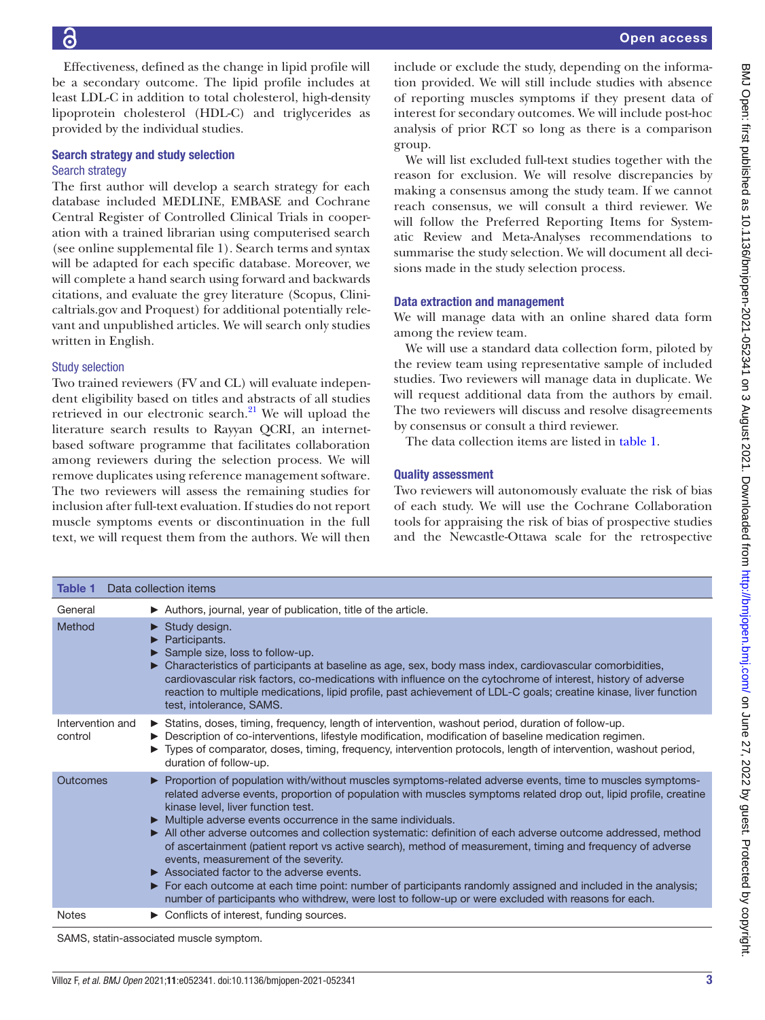16

Effectiveness, defined as the change in lipid profile will be a secondary outcome. The lipid profile includes at least LDL-C in addition to total cholesterol, high-density lipoprotein cholesterol (HDL-C) and triglycerides as provided by the individual studies.

#### Search strategy and study selection Search strategy

The first author will develop a search strategy for each database included MEDLINE, EMBASE and Cochrane Central Register of Controlled Clinical Trials in cooperation with a trained librarian using computerised search (see [online supplemental file 1](https://dx.doi.org/10.1136/bmjopen-2021-052341)). Search terms and syntax will be adapted for each specific database. Moreover, we will complete a hand search using forward and backwards citations, and evaluate the grey literature (Scopus, Clinicaltrials.gov and Proquest) for additional potentially relevant and unpublished articles. We will search only studies written in English.

# Study selection

Two trained reviewers (FV and CL) will evaluate independent eligibility based on titles and abstracts of all studies retrieved in our electronic search. $^{21}$  $^{21}$  $^{21}$  We will upload the literature search results to Rayyan QCRI, an internetbased software programme that facilitates collaboration among reviewers during the selection process. We will remove duplicates using reference management software. The two reviewers will assess the remaining studies for inclusion after full-text evaluation. If studies do not report muscle symptoms events or discontinuation in the full text, we will request them from the authors. We will then include or exclude the study, depending on the information provided. We will still include studies with absence of reporting muscles symptoms if they present data of interest for secondary outcomes. We will include post-hoc analysis of prior RCT so long as there is a comparison group.

We will list excluded full-text studies together with the reason for exclusion. We will resolve discrepancies by making a consensus among the study team. If we cannot reach consensus, we will consult a third reviewer. We will follow the Preferred Reporting Items for Systematic Review and Meta-Analyses recommendations to summarise the study selection. We will document all decisions made in the study selection process.

# Data extraction and management

We will manage data with an online shared data form among the review team.

We will use a standard data collection form, piloted by the review team using representative sample of included studies. Two reviewers will manage data in duplicate. We will request additional data from the authors by email. The two reviewers will discuss and resolve disagreements by consensus or consult a third reviewer.

The data collection items are listed in [table](#page-2-0) 1.

# Quality assessment

Two reviewers will autonomously evaluate the risk of bias of each study. We will use the Cochrane Collaboration tools for appraising the risk of bias of prospective studies and the Newcastle-Ottawa scale for the retrospective

<span id="page-2-0"></span>

| Data collection items<br>Table 1 |                                                                                                                                                                                                                                                                                                                                                                                                                                                                                                                                                                                                                                                                                                                                                                                                                                                                                                                       |
|----------------------------------|-----------------------------------------------------------------------------------------------------------------------------------------------------------------------------------------------------------------------------------------------------------------------------------------------------------------------------------------------------------------------------------------------------------------------------------------------------------------------------------------------------------------------------------------------------------------------------------------------------------------------------------------------------------------------------------------------------------------------------------------------------------------------------------------------------------------------------------------------------------------------------------------------------------------------|
| General                          | Authors, journal, year of publication, title of the article.                                                                                                                                                                                                                                                                                                                                                                                                                                                                                                                                                                                                                                                                                                                                                                                                                                                          |
| Method                           | $\triangleright$ Study design.<br>Participants.<br>Sample size, loss to follow-up.<br>Characteristics of participants at baseline as age, sex, body mass index, cardiovascular comorbidities,<br>cardiovascular risk factors, co-medications with influence on the cytochrome of interest, history of adverse<br>reaction to multiple medications, lipid profile, past achievement of LDL-C goals; creatine kinase, liver function<br>test, intolerance, SAMS.                                                                                                                                                                                                                                                                                                                                                                                                                                                        |
| Intervention and<br>control      | Statins, doses, timing, frequency, length of intervention, washout period, duration of follow-up.<br>Description of co-interventions, lifestyle modification, modification of baseline medication regimen.<br>Types of comparator, doses, timing, frequency, intervention protocols, length of intervention, washout period,<br>▶<br>duration of follow-up.                                                                                                                                                                                                                                                                                                                                                                                                                                                                                                                                                           |
| Outcomes                         | ▶ Proportion of population with/without muscles symptoms-related adverse events, time to muscles symptoms-<br>related adverse events, proportion of population with muscles symptoms related drop out, lipid profile, creatine<br>kinase level, liver function test.<br>• Multiple adverse events occurrence in the same individuals.<br>All other adverse outcomes and collection systematic: definition of each adverse outcome addressed, method<br>$\blacktriangleright$<br>of ascertainment (patient report vs active search), method of measurement, timing and frequency of adverse<br>events, measurement of the severity.<br>$\triangleright$ Associated factor to the adverse events.<br>For each outcome at each time point: number of participants randomly assigned and included in the analysis;<br>number of participants who withdrew, were lost to follow-up or were excluded with reasons for each. |
| <b>Notes</b>                     | $\triangleright$ Conflicts of interest, funding sources.                                                                                                                                                                                                                                                                                                                                                                                                                                                                                                                                                                                                                                                                                                                                                                                                                                                              |

SAMS, statin-associated muscle symptom.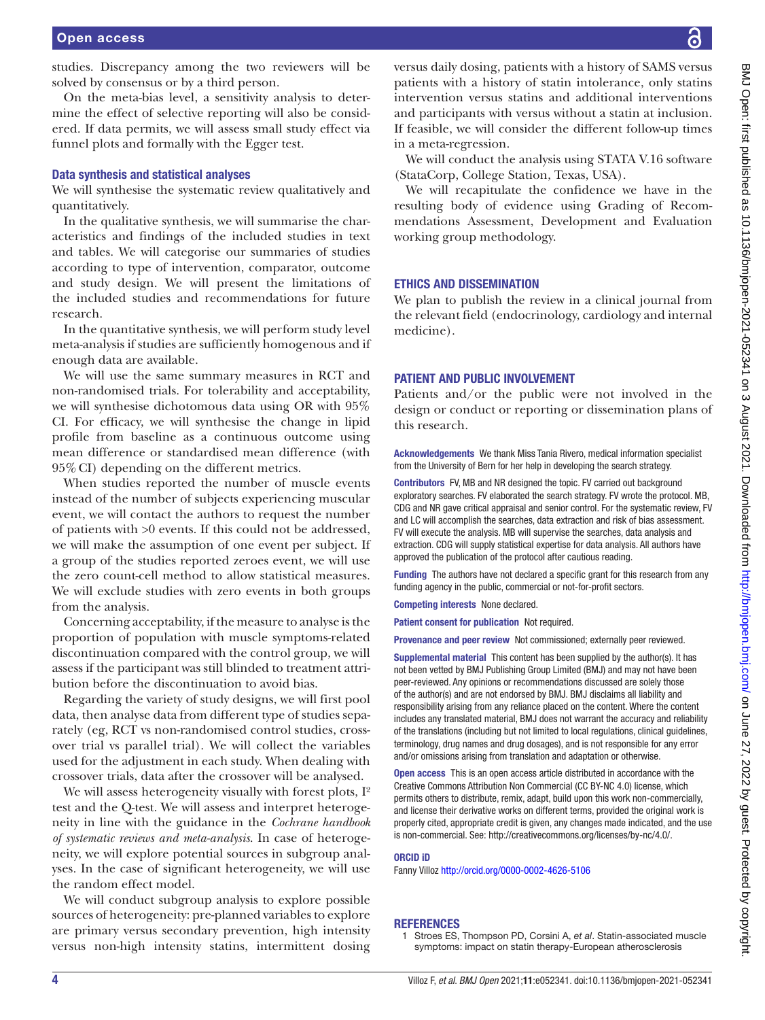studies. Discrepancy among the two reviewers will be solved by consensus or by a third person.

On the meta-bias level, a sensitivity analysis to determine the effect of selective reporting will also be considered. If data permits, we will assess small study effect via funnel plots and formally with the Egger test.

#### Data synthesis and statistical analyses

We will synthesise the systematic review qualitatively and quantitatively.

In the qualitative synthesis, we will summarise the characteristics and findings of the included studies in text and tables. We will categorise our summaries of studies according to type of intervention, comparator, outcome and study design. We will present the limitations of the included studies and recommendations for future research.

In the quantitative synthesis, we will perform study level meta-analysis if studies are sufficiently homogenous and if enough data are available.

We will use the same summary measures in RCT and non-randomised trials. For tolerability and acceptability, we will synthesise dichotomous data using OR with 95% CI. For efficacy, we will synthesise the change in lipid profile from baseline as a continuous outcome using mean difference or standardised mean difference (with 95%CI) depending on the different metrics.

When studies reported the number of muscle events instead of the number of subjects experiencing muscular event, we will contact the authors to request the number of patients with >0 events. If this could not be addressed, we will make the assumption of one event per subject. If a group of the studies reported zeroes event, we will use the zero count-cell method to allow statistical measures. We will exclude studies with zero events in both groups from the analysis.

Concerning acceptability, if the measure to analyse is the proportion of population with muscle symptoms-related discontinuation compared with the control group, we will assess if the participant was still blinded to treatment attribution before the discontinuation to avoid bias.

Regarding the variety of study designs, we will first pool data, then analyse data from different type of studies separately (eg, RCT vs non-randomised control studies, crossover trial vs parallel trial). We will collect the variables used for the adjustment in each study. When dealing with crossover trials, data after the crossover will be analysed.

We will assess heterogeneity visually with forest plots,  $I^2$ test and the Q-test. We will assess and interpret heterogeneity in line with the guidance in the *Cochrane handbook of systematic reviews and meta-analysis*. In case of heterogeneity, we will explore potential sources in subgroup analyses. In the case of significant heterogeneity, we will use the random effect model.

We will conduct subgroup analysis to explore possible sources of heterogeneity: pre-planned variables to explore are primary versus secondary prevention, high intensity versus non-high intensity statins, intermittent dosing versus daily dosing, patients with a history of SAMS versus patients with a history of statin intolerance, only statins intervention versus statins and additional interventions and participants with versus without a statin at inclusion. If feasible, we will consider the different follow-up times in a meta-regression.

We will conduct the analysis using STATA V.16 software (StataCorp, College Station, Texas, USA).

We will recapitulate the confidence we have in the resulting body of evidence using Grading of Recommendations Assessment, Development and Evaluation working group methodology.

#### ETHICS AND DISSEMINATION

We plan to publish the review in a clinical journal from the relevant field (endocrinology, cardiology and internal medicine).

#### PATIENT AND PUBLIC INVOLVEMENT

Patients and/or the public were not involved in the design or conduct or reporting or dissemination plans of this research.

Acknowledgements We thank Miss Tania Rivero, medical information specialist from the University of Bern for her help in developing the search strategy.

Contributors FV, MB and NR designed the topic. FV carried out background exploratory searches. FV elaborated the search strategy. FV wrote the protocol. MB, CDG and NR gave critical appraisal and senior control. For the systematic review, FV and LC will accomplish the searches, data extraction and risk of bias assessment. FV will execute the analysis. MB will supervise the searches, data analysis and extraction. CDG will supply statistical expertise for data analysis. All authors have approved the publication of the protocol after cautious reading.

Funding The authors have not declared a specific grant for this research from any funding agency in the public, commercial or not-for-profit sectors.

Competing interests None declared.

Patient consent for publication Not required.

Provenance and peer review Not commissioned; externally peer reviewed.

Supplemental material This content has been supplied by the author(s). It has not been vetted by BMJ Publishing Group Limited (BMJ) and may not have been peer-reviewed. Any opinions or recommendations discussed are solely those of the author(s) and are not endorsed by BMJ. BMJ disclaims all liability and responsibility arising from any reliance placed on the content. Where the content includes any translated material, BMJ does not warrant the accuracy and reliability of the translations (including but not limited to local regulations, clinical guidelines, terminology, drug names and drug dosages), and is not responsible for any error and/or omissions arising from translation and adaptation or otherwise.

Open access This is an open access article distributed in accordance with the Creative Commons Attribution Non Commercial (CC BY-NC 4.0) license, which permits others to distribute, remix, adapt, build upon this work non-commercially, and license their derivative works on different terms, provided the original work is properly cited, appropriate credit is given, any changes made indicated, and the use is non-commercial. See: [http://creativecommons.org/licenses/by-nc/4.0/.](http://creativecommons.org/licenses/by-nc/4.0/)

#### ORCID iD

Fanny Villoz <http://orcid.org/0000-0002-4626-5106>

#### <span id="page-3-0"></span>**REFERENCES**

<sup>1</sup> Stroes ES, Thompson PD, Corsini A, *et al*. Statin-associated muscle symptoms: impact on statin therapy-European atherosclerosis